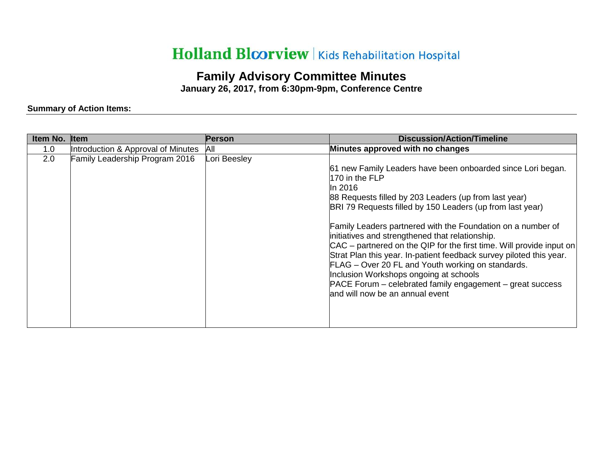## Holland Bloorview | Kids Rehabilitation Hospital

## **Family Advisory Committee Minutes**

**January 26, 2017, from 6:30pm-9pm, Conference Centre** 

## **Summary of Action Items:**

| Item No. | <b>I</b> tem                       | <b>Person</b> | <b>Discussion/Action/Timeline</b>                                                                                                                                                                                                                                                                                                                                                                                                                                                                                                                                                                                                                                                |
|----------|------------------------------------|---------------|----------------------------------------------------------------------------------------------------------------------------------------------------------------------------------------------------------------------------------------------------------------------------------------------------------------------------------------------------------------------------------------------------------------------------------------------------------------------------------------------------------------------------------------------------------------------------------------------------------------------------------------------------------------------------------|
| 1.0      | Introduction & Approval of Minutes | All           | Minutes approved with no changes                                                                                                                                                                                                                                                                                                                                                                                                                                                                                                                                                                                                                                                 |
| 2.0      | Family Leadership Program 2016     | Lori Beesley  | 61 new Family Leaders have been onboarded since Lori began.<br>170 in the FLP<br>In 2016<br>88 Requests filled by 203 Leaders (up from last year)<br>BRI 79 Requests filled by 150 Leaders (up from last year)<br>Family Leaders partnered with the Foundation on a number of<br>initiatives and strengthened that relationship.<br>$CAC$ – partnered on the QIP for the first time. Will provide input on<br>Strat Plan this year. In-patient feedback survey piloted this year.<br>FLAG - Over 20 FL and Youth working on standards.<br>Inclusion Workshops ongoing at schools<br>PACE Forum – celebrated family engagement – great success<br>and will now be an annual event |
|          |                                    |               |                                                                                                                                                                                                                                                                                                                                                                                                                                                                                                                                                                                                                                                                                  |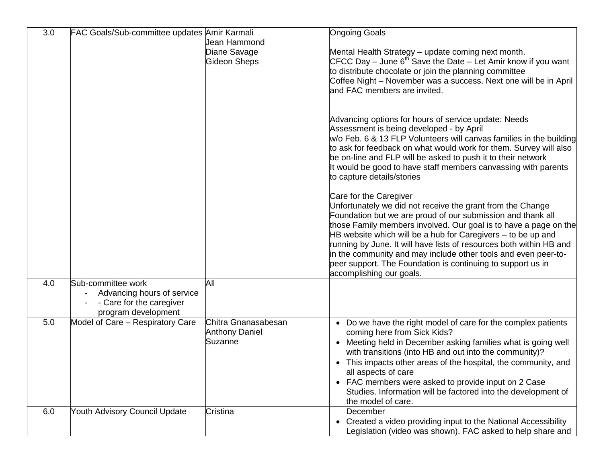| 3.0 | FAC Goals/Sub-committee updates Amir Karmali                                                        |                                                         | <b>Ongoing Goals</b>                                                                                                                                                                                                                                                                                                                                                                                                                                                                                                        |
|-----|-----------------------------------------------------------------------------------------------------|---------------------------------------------------------|-----------------------------------------------------------------------------------------------------------------------------------------------------------------------------------------------------------------------------------------------------------------------------------------------------------------------------------------------------------------------------------------------------------------------------------------------------------------------------------------------------------------------------|
|     |                                                                                                     | Jean Hammond                                            |                                                                                                                                                                                                                                                                                                                                                                                                                                                                                                                             |
|     |                                                                                                     | Diane Savage<br><b>Gideon Sheps</b>                     | Mental Health Strategy - update coming next month.<br>CFCC Day – June $6th$ Save the Date – Let Amir know if you want<br>to distribute chocolate or join the planning committee<br>Coffee Night - November was a success. Next one will be in April<br>and FAC members are invited.                                                                                                                                                                                                                                         |
|     |                                                                                                     |                                                         | Advancing options for hours of service update: Needs<br>Assessment is being developed - by April<br>w/o Feb. 6 & 13 FLP Volunteers will canvas families in the building<br>to ask for feedback on what would work for them. Survey will also<br>be on-line and FLP will be asked to push it to their network<br>It would be good to have staff members canvassing with parents<br>to capture details/stories                                                                                                                |
|     |                                                                                                     |                                                         | Care for the Caregiver<br>Unfortunately we did not receive the grant from the Change<br>Foundation but we are proud of our submission and thank all<br>those Family members involved. Our goal is to have a page on the<br>HB website which will be a hub for Caregivers – to be up and<br>running by June. It will have lists of resources both within HB and<br>in the community and may include other tools and even peer-to-<br>peer support. The Foundation is continuing to support us in<br>accomplishing our goals. |
| 4.0 | Sub-committee work<br>Advancing hours of service<br>- Care for the caregiver<br>program development | All                                                     |                                                                                                                                                                                                                                                                                                                                                                                                                                                                                                                             |
| 5.0 | Model of Care - Respiratory Care                                                                    | Chitra Gnanasabesan<br><b>Anthony Daniel</b><br>Suzanne | • Do we have the right model of care for the complex patients<br>coming here from Sick Kids?<br>• Meeting held in December asking families what is going well<br>with transitions (into HB and out into the community)?<br>• This impacts other areas of the hospital, the community, and<br>all aspects of care<br>• FAC members were asked to provide input on 2 Case<br>Studies. Information will be factored into the development of<br>the model of care.                                                              |
| 6.0 | <b>Youth Advisory Council Update</b>                                                                | Cristina                                                | December<br>• Created a video providing input to the National Accessibility<br>Legislation (video was shown). FAC asked to help share and                                                                                                                                                                                                                                                                                                                                                                                   |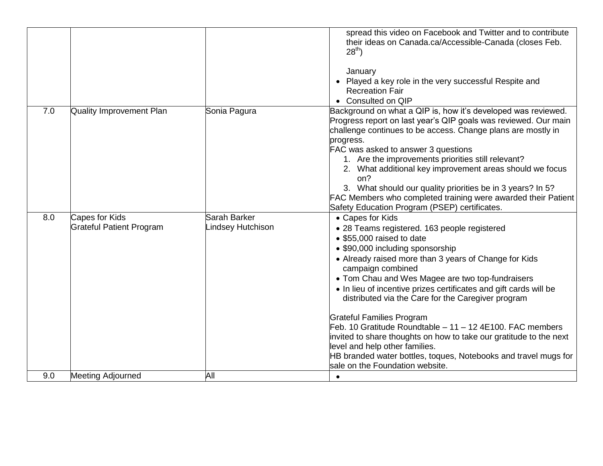|     |                                                   |                                   | spread this video on Facebook and Twitter and to contribute<br>their ideas on Canada.ca/Accessible-Canada (closes Feb.<br>$28^{th}$ )                                                                                                                                                                                                                                                                                                                                                                                                                                                                                                                                      |
|-----|---------------------------------------------------|-----------------------------------|----------------------------------------------------------------------------------------------------------------------------------------------------------------------------------------------------------------------------------------------------------------------------------------------------------------------------------------------------------------------------------------------------------------------------------------------------------------------------------------------------------------------------------------------------------------------------------------------------------------------------------------------------------------------------|
|     |                                                   |                                   | January<br>• Played a key role in the very successful Respite and<br><b>Recreation Fair</b><br>• Consulted on QIP                                                                                                                                                                                                                                                                                                                                                                                                                                                                                                                                                          |
| 7.0 | Quality Improvement Plan                          | Sonia Pagura                      | Background on what a QIP is, how it's developed was reviewed.<br>Progress report on last year's QIP goals was reviewed. Our main<br>challenge continues to be access. Change plans are mostly in<br>progress.<br>FAC was asked to answer 3 questions<br>1. Are the improvements priorities still relevant?<br>2. What additional key improvement areas should we focus<br>on?<br>3. What should our quality priorities be in 3 years? In 5?<br>FAC Members who completed training were awarded their Patient<br>Safety Education Program (PSEP) certificates.                                                                                                              |
| 8.0 | Capes for Kids<br><b>Grateful Patient Program</b> | Sarah Barker<br>Lindsey Hutchison | • Capes for Kids<br>• 28 Teams registered. 163 people registered<br>• \$55,000 raised to date<br>• \$90,000 including sponsorship<br>• Already raised more than 3 years of Change for Kids<br>campaign combined<br>• Tom Chau and Wes Magee are two top-fundraisers<br>• In lieu of incentive prizes certificates and gift cards will be<br>distributed via the Care for the Caregiver program<br><b>Grateful Families Program</b><br>Feb. 10 Gratitude Roundtable - 11 - 12 4E100. FAC members<br>invited to share thoughts on how to take our gratitude to the next<br>level and help other families.<br>HB branded water bottles, toques, Notebooks and travel mugs for |
|     |                                                   |                                   | sale on the Foundation website.                                                                                                                                                                                                                                                                                                                                                                                                                                                                                                                                                                                                                                            |
| 9.0 | <b>Meeting Adjourned</b>                          | All                               | $\bullet$                                                                                                                                                                                                                                                                                                                                                                                                                                                                                                                                                                                                                                                                  |